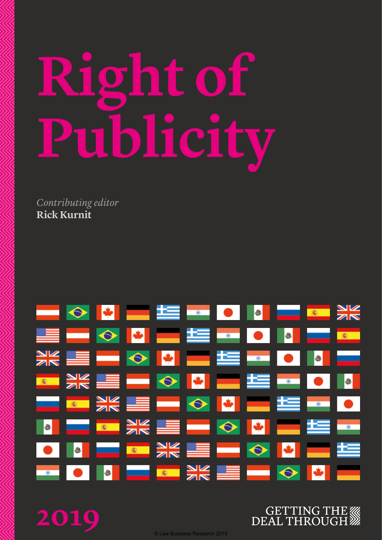# **Right of Publicity**

*Contributing editor* **Rick Kurnit**



**2019**

**GETTING THE WW DEAL THROUGH** 

© Law Business Research 2018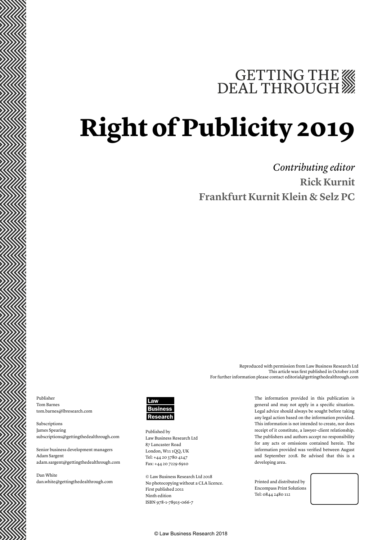# GETTING THE WE DEAL THROUGH

# **Right of Publicity 2019**

*Contributing editor* **Rick Kurnit Frankfurt Kurnit Klein & Selz PC**

Reproduced with permission from Law Business Research Ltd This article was first published in October 2018 For further information please contact editorial@gettingthedealthrough.com

Publisher Tom Barnes tom.barnes@lbresearch.com

Subscriptions James Spearing subscriptions@gettingthedealthrough.com

Senior business development managers Adam Sargent adam.sargent@gettingthedealthrough.com

Dan White dan.white@gettingthedealthrough.com



Published by Law Business Research Ltd 87 Lancaster Road London, W11 1QQ, UK Tel: +44 20 3780 4147 Fax: +44 20 7229 6910

© Law Business Research Ltd 2018 No photocopying without a CLA licence. First published 2011 Ninth edition ISBN 978-1-78915-066-7

The information provided in this publication is general and may not apply in a specific situation. Legal advice should always be sought before taking any legal action based on the information provided. This information is not intended to create, nor does receipt of it constitute, a lawyer–client relationship. The publishers and authors accept no responsibility for any acts or omissions contained herein. The information provided was verified between August and September 2018. Be advised that this is a developing area.

Printed and distributed by Encompass Print Solutions Tel: 0844 2480 112

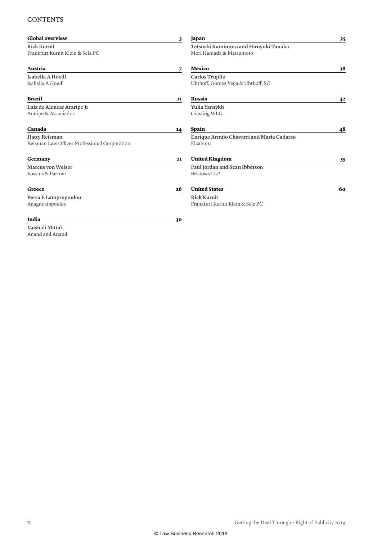#### **CONTENTS**

| Global overview                              | 5  | Japan                                     | 35 |
|----------------------------------------------|----|-------------------------------------------|----|
| <b>Rick Kurnit</b>                           |    | Tetsushi Kamimura and Hiroyuki Tanaka     |    |
| Frankfurt Kurnit Klein & Selz PC             |    | Mori Hamada & Matsumoto                   |    |
| Austria                                      | 7  | Mexico                                    | 38 |
| Isabella A Hoedl                             |    | Carlos Trujillo                           |    |
| Isabella A Hoedl                             |    | Uhthoff, Gómez Vega & Uhthoff, SC         |    |
| <b>Brazil</b>                                | 11 | Russia                                    | 42 |
| Luiz de Alencar Araripe Jr                   |    | Yulia Yarnykh                             |    |
| Araripe & Associados                         |    | Gowling WLG                               |    |
| Canada                                       | 14 | Spain                                     | 48 |
| <b>Hatty Reisman</b>                         |    | Enrique Armijo Chávarri and María Cadarso |    |
| Reisman Law Offices Professional Corporation |    | Elzaburu                                  |    |
| Germany                                      | 21 | <b>United Kingdom</b>                     | 55 |
| <b>Marcus von Welser</b>                     |    | Paul Jordan and Sean Ibbetson             |    |
| Vossius & Partner                            |    | <b>Bristows LLP</b>                       |    |
| Greece                                       | 26 | <b>United States</b>                      | 60 |
| Persa E Lampropoulou                         |    | <b>Rick Kurnit</b>                        |    |
| Anagnostopoulos                              |    | Frankfurt Kurnit Klein & Selz PC          |    |
| India                                        | 30 |                                           |    |
| Vaishali Mittal                              |    |                                           |    |
| Anand and Anand                              |    |                                           |    |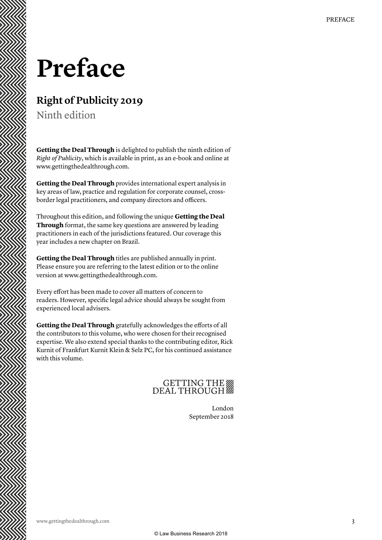### **Preface**

### **Right of Publicity 2019**

Ninth edition

**Getting the Deal Through** is delighted to publish the ninth edition of *Right of Publicity*, which is available in print, as an e-book and online at www.gettingthedealthrough.com.

**Getting the Deal Through** provides international expert analysis in key areas of law, practice and regulation for corporate counsel, crossborder legal practitioners, and company directors and officers.

Throughout this edition, and following the unique **Getting the Deal Through** format, the same key questions are answered by leading practitioners in each of the jurisdictions featured. Our coverage this year includes a new chapter on Brazil.

**Getting the Deal Through** titles are published annually in print. Please ensure you are referring to the latest edition or to the online version at www.gettingthedealthrough.com.

Every effort has been made to cover all matters of concern to readers. However, specific legal advice should always be sought from experienced local advisers.

**Getting the Deal Through** gratefully acknowledges the efforts of all the contributors to this volume, who were chosen for their recognised expertise. We also extend special thanks to the contributing editor, Rick Kurnit of Frankfurt Kurnit Klein & Selz PC, for his continued assistance with this volume.

### GETTING THE

London September 2018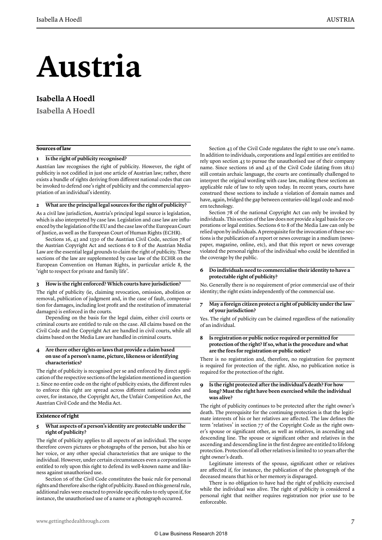## **Austria**

#### **Isabella A Hoedl**

**Isabella A Hoedl**

#### **Sources of law**

#### **1 Is the right of publicity recognised?**

Austrian law recognises the right of publicity. However, the right of publicity is not codified in just one article of Austrian law; rather, there exists a bundle of rights deriving from different national codes that can be invoked to defend one's right of publicity and the commercial appropriation of an individual's identity.

#### **2 What are the principal legal sources for the right of publicity?**

As a civil law jurisdiction, Austria's principal legal source is legislation, which is also interpreted by case law. Legislation and case law are influenced by the legislation of the EU and the case law of the European Court of Justice, as well as the European Court of Human Rights (ECHR).

Sections 16, 43 and 1330 of the Austrian Civil Code, section 78 of the Austrian Copyright Act and sections 6 to 8 of the Austrian Media Law are the essential legal grounds to claim the right of publicity. These sections of the law are supplemented by case law of the ECHR on the European Convention on Human Rights, in particular article 8, the 'right to respect for private and family life'.

#### **3 How is the right enforced? Which courts have jurisdiction?**

The right of publicity (ie, claiming revocation, omission, abolition or removal, publication of judgment and, in the case of fault, compensation for damages, including lost profit and the restitution of immaterial damages) is enforced in the courts.

Depending on the basis for the legal claim, either civil courts or criminal courts are entitled to rule on the case. All claims based on the Civil Code and the Copyright Act are handled in civil courts, while all claims based on the Media Law are handled in criminal courts.

#### **4 Are there other rights or laws that provide a claim based on use of a person's name, picture, likeness or identifying characteristics?**

The right of publicity is recognised per se and enforced by direct application of the respective sections of the legislation mentioned in question 2. Since no entire code on the right of publicity exists, the different rules to enforce this right are spread across different national codes and cover, for instance, the Copyright Act, the Unfair Competition Act, the Austrian Civil Code and the Media Act.

#### **Existence of right**

#### **5 What aspects of a person's identity are protectable under the right of publicity?**

The right of publicity applies to all aspects of an individual. The scope therefore covers pictures or photographs of the person, but also his or her voice, or any other special characteristics that are unique to the individual. However, under certain circumstances even a corporation is entitled to rely upon this right to defend its well-known name and likeness against unauthorised use.

Section 16 of the Civil Code constitutes the basic rule for personal rights and therefore also the right of publicity. Based on this general rule, additional rules were enacted to provide specific rules to rely upon if, for instance, the unauthorised use of a name or a photograph occurred.

Section 43 of the Civil Code regulates the right to use one's name. In addition to individuals, corporations and legal entities are entitled to rely upon section 43 to pursue the unauthorised use of their company name. Since sections 16 and 43 of the Civil Code (dating from 1811) still contain archaic language, the courts are continually challenged to interpret the original wording with case law, making these sections an applicable rule of law to rely upon today. In recent years, courts have construed these sections to include a violation of domain names and have, again, bridged the gap between centuries-old legal code and modern technology.

Section 78 of the national Copyright Act can only be invoked by individuals. This section of the law does not provide a legal basis for corporations or legal entities. Sections 6 to 8 of the Media Law can only be relied upon by individuals. A prerequisite for the invocation of these sections is the publication of a report or news coverage in a medium (newspaper, magazine, online, etc), and that this report or news coverage violated the personal rights of the individual who could be identified in the coverage by the public.

#### **6 Do individuals need to commercialise their identity to have a protectable right of publicity?**

No. Generally there is no requirement of prior commercial use of their identity; the right exists independently of the commercial use.

#### **7 May a foreign citizen protect a right of publicity under the law of your jurisdiction?**

Yes. The right of publicity can be claimed regardless of the nationality of an individual.

#### **8 Is registration or public notice required or permitted for protection of the right? If so, what is the procedure and what are the fees for registration or public notice?**

There is no registration and, therefore, no registration fee payment is required for protection of the right. Also, no publication notice is required for the protection of the right.

#### **9 Is the right protected after the individual's death? For how long? Must the right have been exercised while the individual was alive?**

The right of publicity continues to be protected after the right owner's death. The prerequisite for the continuing protection is that the legitimate interests of his or her relatives are affected. The law defines the term 'relatives' in section 77 of the Copyright Code as the right owner's spouse or significant other, as well as relatives, in ascending and descending line. The spouse or significant other and relatives in the ascending and descending line in the first degree are entitled to lifelong protection. Protection of all other relatives is limited to 10 years after the right owner's death.

Legitimate interests of the spouse, significant other or relatives are affected if, for instance, the publication of the photograph of the deceased means that his or her memory is disparaged.

There is no obligation to have had the right of publicity exercised while the individual was alive. The right of publicity is considered a personal right that neither requires registration nor prior use to be enforceable.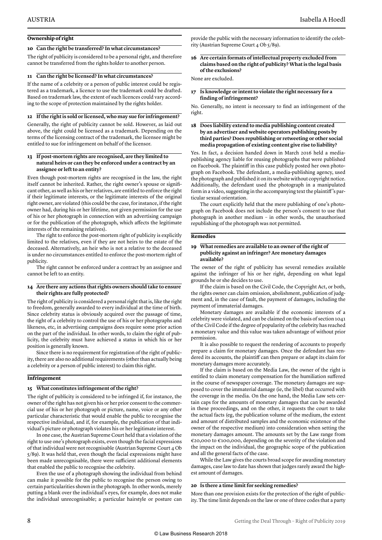#### **Ownership of right**

#### **10 Can the right be transferred? In what circumstances?**

The right of publicity is considered to be a personal right, and therefore cannot be transferred from the rights holder to another person.

#### **11 Can the right be licensed? In what circumstances?**

If the name of a celebrity or a person of public interest could be registered as a trademark, a licence to use the trademark could be drafted. Based on trademark law, the extent of such licences could vary according to the scope of protection maintained by the rights holder.

#### **12 If the right is sold or licensed, who may sue for infringement?**

Generally, the right of publicity cannot be sold. However, as laid out above, the right could be licensed as a trademark. Depending on the terms of the licensing contract of the trademark, the licensee might be entitled to sue for infringement on behalf of the licensor.

#### **13 If post-mortem rights are recognised, are they limited to natural heirs or can they be enforced under a contract by an assignee or left to an entity?**

Even though post-mortem rights are recognised in the law, the right itself cannot be inherited. Rather, the right owner's spouse or significant other, as well as his or her relatives, are entitled to enforce the right if their legitimate interests, or the legitimate interests of the original right owner, are violated (this could be the case, for instance, if the right owner had, during his or her lifetime, not given permission for the use of his or her photograph in connection with an advertising campaign or for the publication of the photograph, which affects the legitimate interests of the remaining relatives).

The right to enforce the post-mortem right of publicity is explicitly limited to the relatives, even if they are not heirs to the estate of the deceased. Alternatively, an heir who is not a relative to the deceased is under no circumstances entitled to enforce the post-mortem right of publicity.

The right cannot be enforced under a contract by an assignee and cannot be left to an entity.

#### **14 Are there any actions that rights owners should take to ensure their rights are fully protected?**

The right of publicity is considered a personal right that is, like the right to freedom, generally awarded to every individual at the time of birth. Since celebrity status is obviously acquired over the passage of time, the right of a celebrity to control the use of his or her photographs and likeness, etc, in advertising campaigns does require some prior action on the part of the individual. In other words, to claim the right of publicity, the celebrity must have achieved a status in which his or her position is generally known.

Since there is no requirement for registration of the right of publicity, there are also no additional requirements (other than actually being a celebrity or a person of public interest) to claim this right.

#### **Infringement**

#### **15 What constitutes infringement of the right?**

The right of publicity is considered to be infringed if, for instance, the owner of the right has not given his or her prior consent to the commercial use of his or her photograph or picture, name, voice or any other particular characteristic that would enable the public to recognise the respective individual, and if, for example, the publication of that individual's picture or photograph violates his or her legitimate interest.

In one case, the Austrian Supreme Court held that a violation of the right to use one's photograph exists, even though the facial expressions of that individual were not recognisable (Austrian Supreme Court 4 Ob 5/89). It was held that, even though the facial expressions might have been made unrecognisable, there were sufficient additional elements that enabled the public to recognise the celebrity.

Even the use of a photograph showing the individual from behind can make it possible for the public to recognise the person owing to certain particularities shown in the photograph. In other words, merely putting a blank over the individual's eyes, for example, does not make the individual unrecognisable; a particular hairstyle or posture can

provide the public with the necessary information to identify the celebrity (Austrian Supreme Court 4 Ob 5/89).

#### **16 Are certain formats of intellectual property excluded from claims based on the right of publicity? What is the legal basis of the exclusions?**

None are excluded.

#### **17 Is knowledge or intent to violate the right necessary for a finding of infringement?**

No. Generally, no intent is necessary to find an infringement of the right.

#### **18 Does liability extend to media publishing content created by an advertiser and website operators publishing posts by third parties? Does republishing or retweeting or other social media propagation of existing content give rise to liability?**

Yes. In fact, a decision handed down in March 2016 held a mediapublishing agency liable for reusing photographs that were published on Facebook. The plaintiff in this case publicly posted her own photograph on Facebook. The defendant, a media-publishing agency, used the photograph and published it on its website without copyright notice. Additionally, the defendant used the photograph in a manipulated form in a video, suggesting in the accompanying text the plaintiff 's particular sexual orientation.

The court explicitly held that the mere publishing of one's photograph on Facebook does not include the person's consent to use that photograph in another medium – in other words, the unauthorised republishing of the photograph was not permitted.

#### **Remedies**

#### **19 What remedies are available to an owner of the right of publicity against an infringer? Are monetary damages available?**

The owner of the right of publicity has several remedies available against the infringer of his or her right, depending on what legal grounds he or she decides to use.

If the claim is based on the Civil Code, the Copyright Act, or both, the rights owner can claim omission, abolishment, publication of judgment and, in the case of fault, the payment of damages, including the payment of immaterial damages.

Monetary damages are available if the economic interests of a celebrity were violated, and can be claimed on the basis of section 1041 of the Civil Code if the degree of popularity of the celebrity has reached a monetary value and this value was taken advantage of without prior permission.

It is also possible to request the rendering of accounts to properly prepare a claim for monetary damages. Once the defendant has rendered its accounts, the plaintiff can then prepare or adapt its claim for monetary damages more accurately.

If the claim is based on the Media Law, the owner of the right is entitled to claim monetary compensation for the humiliation suffered in the course of newspaper coverage. The monetary damages are supposed to cover the immaterial damage (ie, the libel) that occurred with the coverage in the media. On the one hand, the Media Law sets certain caps for the amounts of monetary damages that can be awarded in these proceedings, and on the other, it requests the court to take the actual facts (eg, the publication volume of the medium, the extent and amount of distributed samples and the economic existence of the owner of the respective medium) into consideration when setting the monetary damages amount. The amounts set by the Law range from €20,000 to €100,000, depending on the severity of the violation and the impact on the individual, the geographic scope of the publication and all the general facts of the case.

While the Law gives the courts broad scope for awarding monetary damages, case law to date has shown that judges rarely award the highest amount of damages.

#### **20 Is there a time limit for seeking remedies?**

More than one provision exists for the protection of the right of publicity. The time limit depends on the law or one of three codes that a party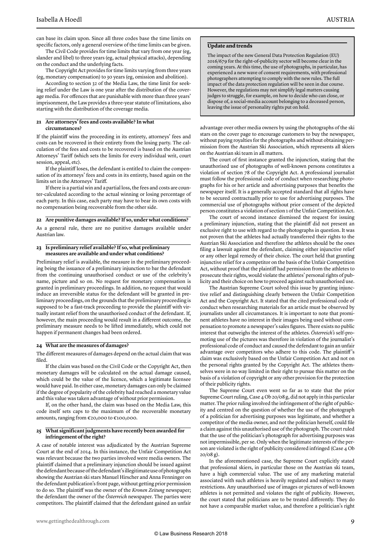can base its claim upon. Since all three codes base the time limits on specific factors, only a general overview of the time limits can be given.

The Civil Code provides for time limits that vary from one year (eg, slander and libel) to three years (eg, actual physical attacks), depending on the conduct and the underlying facts.

The Copyright Act provides for time limits varying from three years (eg, monetary compensation) to 30 years (eg, omission and abolition).

According to section 32 of the Media Law, the time limit for seeking relief under the Law is one year after the distribution of the coverage media. For offences that are punishable with more than three years' imprisonment, the Law provides a three-year statute of limitations, also starting with the distribution of the coverage media.

#### **21 Are attorneys' fees and costs available? In what circumstances?**

If the plaintiff wins the proceeding in its entirety, attorneys' fees and costs can be recovered in their entirety from the losing party. The calculation of the fees and costs to be recovered is based on the Austrian Attorneys' Tariff (which sets the limits for every individual writ, court session, appeal, etc).

If the plaintiff loses, the defendant is entitled to claim the compensation of its attorneys' fees and costs in its entirety, based again on the limits set in the Attorneys' Tariff.

If there is a partial win and a partial loss, the fees and costs are counter-calculated according to the actual winning or losing percentage of each party. In this case, each party may have to bear its own costs with no compensation being recoverable from the other side.

#### **22 Are punitive damages available? If so, under what conditions?**

As a general rule, there are no punitive damages available under Austrian law.

#### **23 Is preliminary relief available? If so, what preliminary measures are available and under what conditions?**

Preliminary relief is available, the measure in the preliminary proceeding being the issuance of a preliminary injunction to bar the defendant from the continuing unauthorised conduct or use of the celebrity's name, picture and so on. No request for monetary compensation is granted in preliminary proceedings. In addition, no request that would induce an irreversible status for the defendant will be granted in preliminary proceedings, on the grounds that the preliminary proceeding is supposed to be a fast-track proceeding to provide the plaintiff with virtually instant relief from the unauthorised conduct of the defendant. If, however, the main proceeding would result in a different outcome, the preliminary measure needs to be lifted immediately, which could not happen if permanent changes had been ordered.

#### **24 What are the measures of damages?**

The different measures of damages depend on the actual claim that was filed.

If the claim was based on the Civil Code or the Copyright Act, then monetary damages will be calculated on the actual damage caused, which could be the value of the licence, which a legitimate licensee would have paid. In either case, monetary damages can only be claimed if the degree of popularity of the celebrity had reached a monetary value and this value was taken advantage of without prior permission.

If, on the other hand, the claim was based on the Media Law, this code itself sets caps to the maximum of the recoverable monetary amounts, ranging from €20,000 to €100,000.

#### **25 What significant judgments have recently been awarded for infringement of the right?**

A case of notable interest was adjudicated by the Austrian Supreme Court at the end of 2014. In this instance, the Unfair Competition Act was relevant because the two parties involved were media owners. The plaintiff claimed that a preliminary injunction should be issued against the defendant because of the defendant's illegitimate use of photographs showing the Austrian ski stars Manuel Hirscher and Anna Fenninger on the defendant publication's front page, without getting prior permission to do so. The plaintiff was the owner of the *Kronen Zeitung* newspaper; the defendant the owner of the *Österreich* newspaper. The parties were competitors. The plaintiff claimed that the defendant gained an unfair

#### **Update and trends**

The impact of the new General Data Protection Regulation (EU) 2016/679 for the right-of-publicity sector will become clear in the coming years. At this time, the use of photographs, in particular, has experienced a new wave of consent requirements, with professional photographers attempting to comply with the new rules. The full impact of the data protection regulation will be seen in due course. However, the regulations may not simplify legal matters causing judges to struggle, for example, on how to decide who can close, or dispose of, a social-media account belonging to a deceased person, leaving the issue of personality rights put on hold.

advantage over other media owners by using the photographs of the ski stars on the cover page to encourage customers to buy the newspaper, without paying royalties for the photographs and without obtaining permission from the Austrian Ski Association, which represents all skiers on the Austrian ski team in all matters.

The court of first instance granted the injunction, stating that the unauthorised use of photographs of well-known persons constitutes a violation of section 78 of the Copyright Act. A professional journalist must follow the professional code of conduct when researching photographs for his or her article and advertising purposes that benefits the newspaper itself. It is a generally accepted standard that all rights have to be secured contractually prior to use for advertising purposes. The commercial use of photographs without prior consent of the depicted person constitutes a violation of section 1 of the Unfair Competition Act.

The court of second instance dismissed the request for issuing a preliminary injunction, stating that the plaintiff did not present an exclusive right to use with regard to the photographs in question. It was not proven that the athletes had actually transferred their rights to the Austrian Ski Association and therefore the athletes should be the ones filing a lawsuit against the defendant, claiming either injunctive relief or any other legal remedy of their choice. The court held that granting injunctive relief for a competitor on the basis of the Unfair Competition Act, without proof that the plaintiff had permission from the athletes to prosecute their rights, would violate the athletes' personal rights of publicity and their choice on how to proceed against such unauthorised use.

The Austrian Supreme Court solved this issue by granting injunctive relief and distinguishing clearly between the Unfair Competition Act and the Copyright Act. It stated that the cited professional code of conduct when researching materials for an article must be observed by journalists under all circumstances. It is important to note that prominent athletes have no interest in their images being used without compensation to promote a newspaper's sales figures. There exists no public interest that outweighs the interest of the athletes. *Österreich's* self-promoting use of the pictures was therefore in violation of the journalist's professional code of conduct and caused the defendant to gain an unfair advantage over competitors who adhere to this code. The plaintiff 's claim was exclusively based on the Unfair Competition Act and not on the personal rights granted by the Copyright Act. The athletes themselves were in no way limited in their right to pursue this matter on the basis of a violation of copyright or any other provision for the protection of their publicity rights.

The Supreme Court even went so far as to state that the prior Supreme Court ruling, Case 4 Ob 20/08 g, did not apply in this particular matter. The prior ruling involved the infringement of the right of publicity and centred on the question of whether the use of the photograph of a politician for advertising purposes was legitimate, and whether a competitor of the media owner, and not the politician herself, could file a claim against this unauthorised use of the photograph. The court ruled that the use of the politician's photograph for advertising purposes was not impermissible, per se. Only when the legitimate interests of the person are violated is the right of publicity considered infringed (Case 4 Ob  $20/08 \rho$ ).

In the aforementioned case, the Supreme Court explicitly stated that professional skiers, in particular those on the Austrian ski team, have a high commercial value. The use of any marketing material associated with such athletes is heavily regulated and subject to many restrictions. Any unauthorised use of images or pictures of well-known athletes is not permitted and violates the right of publicity. However, the court stated that politicians are to be treated differently. They do not have a comparable market value, and therefore a politician's right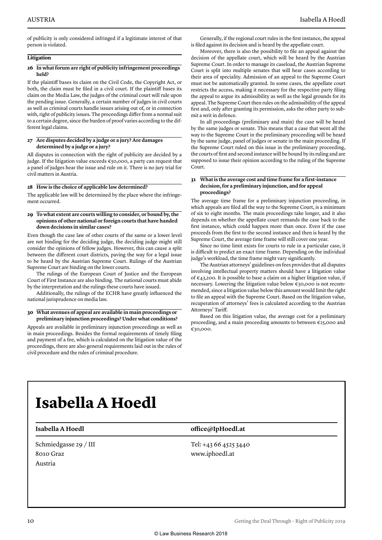of publicity is only considered infringed if a legitimate interest of that person is violated.

#### **Litigation**

#### **26 In what forum are right of publicity infringement proceedings held?**

If the plaintiff bases its claim on the Civil Code, the Copyright Act, or both, the claim must be filed in a civil court. If the plaintiff bases its claim on the Media Law, the judges of the criminal court will rule upon the pending issue. Generally, a certain number of judges in civil courts as well as criminal courts handle issues arising out of, or in connection with, right of publicity issues. The proceedings differ from a normal suit to a certain degree, since the burden of proof varies according to the different legal claims.

#### **27 Are disputes decided by a judge or a jury? Are damages determined by a judge or a jury?**

All disputes in connection with the right of publicity are decided by a judge. If the litigation value exceeds €50,000, a party can request that a panel of judges hear the issue and rule on it. There is no jury trial for civil matters in Austria.

#### **28 How is the choice of applicable law determined?**

The applicable law will be determined by the place where the infringement occurred.

#### **29 To what extent are courts willing to consider, or bound by, the opinions of other national or foreign courts that have handed down decisions in similar cases?**

Even though the case law of other courts of the same or a lower level are not binding for the deciding judge, the deciding judge might still consider the opinions of fellow judges. However, this can cause a split between the different court districts, paving the way for a legal issue to be heard by the Austrian Supreme Court. Rulings of the Austrian Supreme Court are binding on the lower courts.

The rulings of the European Court of Justice and the European Court of First Instance are also binding. The national courts must abide by the interpretation and the rulings these courts have issued.

Additionally, the rulings of the ECHR have greatly influenced the national jurisprudence on media law.

#### **30 What avenues of appeal are available in main proceedings or preliminary injunction proceedings? Under what conditions?**

Appeals are available in preliminary injunction proceedings as well as in main proceedings. Besides the formal requirements of timely filing and payment of a fee, which is calculated on the litigation value of the proceedings, there are also general requirements laid out in the rules of civil procedure and the rules of criminal procedure.

Generally, if the regional court rules in the first instance, the appeal is filed against its decision and is heard by the appellate court.

Moreover, there is also the possibility to file an appeal against the decision of the appellate court, which will be heard by the Austrian Supreme Court. In order to manage its caseload, the Austrian Supreme Court is split into multiple senates that will hear cases according to their area of speciality. Admission of an appeal to the Supreme Court must not be automatically granted. In some cases, the appellate court restricts the access, making it necessary for the respective party filing the appeal to argue its admissibility as well as the legal grounds for its appeal. The Supreme Court then rules on the admissibility of the appeal first and, only after granting its permission, asks the other party to submit a writ in defence.

In all proceedings (preliminary and main) the case will be heard by the same judges or senate. This means that a case that went all the way to the Supreme Court in the preliminary proceeding will be heard by the same judge, panel of judges or senate in the main proceeding. If the Supreme Court ruled on this issue in the preliminary proceeding, the courts of first and second instance will be bound by its ruling and are supposed to issue their opinion according to the ruling of the Supreme Court.

#### **31 What is the average cost and time frame for a first-instance decision, for a preliminary injunction, and for appeal proceedings?**

The average time frame for a preliminary injunction proceeding, in which appeals are filed all the way to the Supreme Court, is a minimum of six to eight months. The main proceedings take longer, and it also depends on whether the appellate court remands the case back to the first instance, which could happen more than once. Even if the case proceeds from the first to the second instance and then is heard by the Supreme Court, the average time frame will still cover one year.

Since no time limit exists for courts to rule in a particular case, it is difficult to predict an exact time frame. Depending on the individual judge's workload, the time frame might vary significantly.

The Austrian attorneys' guidelines on fees provides that all disputes involving intellectual property matters should have a litigation value of €43,200. It is possible to base a claim on a higher litigation value, if necessary. Lowering the litigation value below €30,000 is not recommended, since a litigation value below this amount would limit the right to file an appeal with the Supreme Court. Based on the litigation value, recuperation of attorneys' fees is calculated according to the Austrian Attorneys' Tariff.

Based on this litigation value, the average cost for a preliminary proceeding, and a main proceeding amounts to between  $\epsilon$ 25,000 and €30,000.

### **Isabella A Hoedl**

Schmiedgasse 29 / III 8010 Graz Austria

#### **Isabella A Hoedl office@IpHoedl.at**

Tel: +43 66 4525 3440 www.iphoedl.at